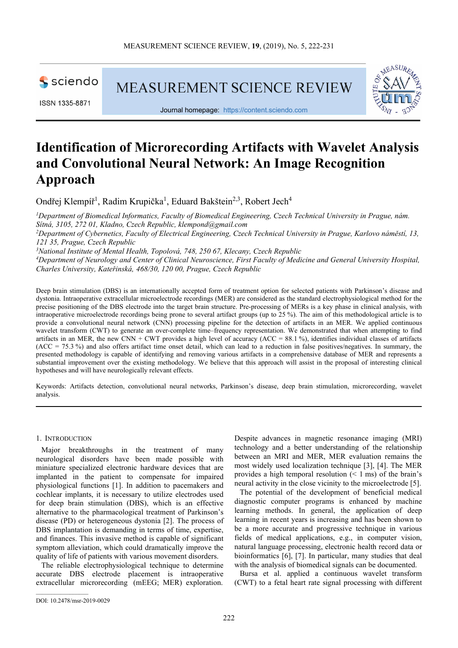

ISSN 1335-8871

**MEASUREMENT SCIENCE REVIEW** 



Journal homepage: https://content.sciendo.com

# **Identification of Microrecording Artifacts with Wavelet Analysis and Convolutional Neural Network: An Image Recognition Approach**

Ondřej Klempíř<sup>1</sup>, Radim Krupička<sup>1</sup>, Eduard Bakštein<sup>2,3</sup>, Robert Jech<sup>4</sup>

*<sup>1</sup>Department of Biomedical Informatics, Faculty of Biomedical Engineering, Czech Technical University in Prague, nám. Sítná, 3105, 272 01, Kladno, Czech Republic, klempond@gmail.com <sup>2</sup>Department of Cybernetics, Faculty of Electrical Engineering, Czech Technical University in Prague, Karlovo náměstí, 13, 121 35, Prague, Czech Republic* 

*<sup>3</sup>National Institute of Mental Health, Topolová, 748, 250 67, Klecany, Czech Republic* 

*<sup>4</sup>Department of Neurology and Center of Clinical Neuroscience, First Faculty of Medicine and General University Hospital, Charles University, Kateřinská, 468/30, 120 00, Prague, Czech Republic* 

Deep brain stimulation (DBS) is an internationally accepted form of treatment option for selected patients with Parkinson's disease and dystonia. Intraoperative extracellular microelectrode recordings (MER) are considered as the standard electrophysiological method for the precise positioning of the DBS electrode into the target brain structure. Pre-processing of MERs is a key phase in clinical analysis, with intraoperative microelectrode recordings being prone to several artifact groups (up to 25 %). The aim of this methodological article is to provide a convolutional neural network (CNN) processing pipeline for the detection of artifacts in an MER. We applied continuous wavelet transform (CWT) to generate an over-complete time–frequency representation. We demonstrated that when attempting to find artifacts in an MER, the new CNN + CWT provides a high level of accuracy ( $ACC = 88.1$ %), identifies individual classes of artifacts (ACC = 75.3 %) and also offers artifact time onset detail, which can lead to a reduction in false positives/negatives. In summary, the presented methodology is capable of identifying and removing various artifacts in a comprehensive database of MER and represents a substantial improvement over the existing methodology. We believe that this approach will assist in the proposal of interesting clinical hypotheses and will have neurologically relevant effects.

Keywords: Artifacts detection, convolutional neural networks, Parkinson's disease, deep brain stimulation, microrecording, wavelet analysis.

#### 1. INTRODUCTION

Major breakthroughs in the treatment of many neurological disorders have been made possible with miniature specialized electronic hardware devices that are implanted in the patient to compensate for impaired physiological functions [1]. In addition to pacemakers and cochlear implants, it is necessary to utilize electrodes used for deep brain stimulation (DBS), which is an effective alternative to the pharmacological treatment of Parkinson's disease (PD) or heterogeneous dystonia [2]. The process of DBS implantation is demanding in terms of time, expertise, and finances. This invasive method is capable of significant symptom alleviation, which could dramatically improve the quality of life of patients with various movement disorders.

The reliable electrophysiological technique to determine accurate DBS electrode placement is intraoperative extracellular microrecording (mEEG; MER) exploration. Despite advances in magnetic resonance imaging (MRI) technology and a better understanding of the relationship between an MRI and MER, MER evaluation remains the most widely used localization technique [3], [4]. The MER provides a high temporal resolution  $(< 1 \text{ ms})$  of the brain's neural activity in the close vicinity to the microelectrode [5].

The potential of the development of beneficial medical diagnostic computer programs is enhanced by machine learning methods. In general, the application of deep learning in recent years is increasing and has been shown to be a more accurate and progressive technique in various fields of medical applications, e.g., in computer vision, natural language processing, electronic health record data or bioinformatics [6], [7]. In particular, many studies that deal with the analysis of biomedical signals can be documented.

Bursa et al. applied a continuous wavelet transform (CWT) to a fetal heart rate signal processing with different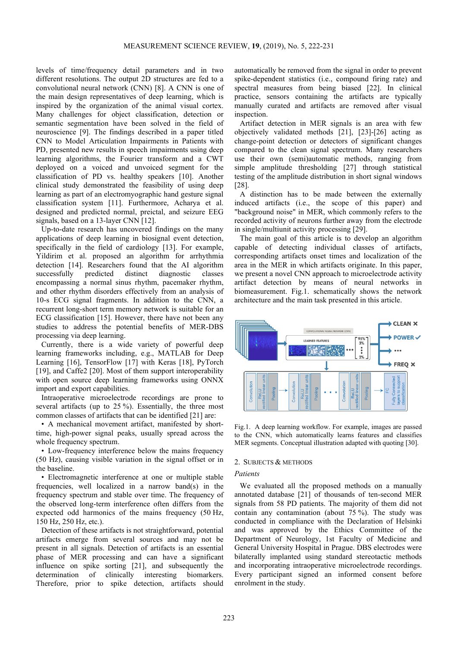levels of time/frequency detail parameters and in two different resolutions. The output 2D structures are fed to a convolutional neural network (CNN) [8]. A CNN is one of the main design representatives of deep learning, which is inspired by the organization of the animal visual cortex. Many challenges for object classification, detection or semantic segmentation have been solved in the field of neuroscience [9]. The findings described in a paper titled CNN to Model Articulation Impairments in Patients with PD, presented new results in speech impairments using deep learning algorithms, the Fourier transform and a CWT deployed on a voiced and unvoiced segment for the classification of PD vs. healthy speakers [10]. Another clinical study demonstrated the feasibility of using deep learning as part of an electromyographic hand gesture signal classification system [11]. Furthermore, Acharya et al. designed and predicted normal, preictal, and seizure EEG signals, based on a 13-layer CNN [12].

Up-to-date research has uncovered findings on the many applications of deep learning in biosignal event detection, specifically in the field of cardiology [13]. For example, Yildirim et al. proposed an algorithm for arrhythmia detection [14]. Researchers found that the AI algorithm successfully predicted distinct diagnostic classes encompassing a normal sinus rhythm, pacemaker rhythm, and other rhythm disorders effectively from an analysis of 10-s ECG signal fragments. In addition to the CNN, a recurrent long-short term memory network is suitable for an ECG classification [15]. However, there have not been any studies to address the potential benefits of MER-DBS processing via deep learning.

Currently, there is a wide variety of powerful deep learning frameworks including, e.g., MATLAB for Deep Learning [16], TensorFlow [17] with Keras [18], PyTorch [19], and Caffe2 [20]. Most of them support interoperability with open source deep learning frameworks using ONNX import and export capabilities.

Intraoperative microelectrode recordings are prone to several artifacts (up to 25 %). Essentially, the three most common classes of artifacts that can be identified [21] are:

• A mechanical movement artifact, manifested by shorttime, high-power signal peaks, usually spread across the whole frequency spectrum.

• Low-frequency interference below the mains frequency (50 Hz), causing visible variation in the signal offset or in the baseline.

• Electromagnetic interference at one or multiple stable frequencies, well localized in a narrow band(s) in the frequency spectrum and stable over time. The frequency of the observed long-term interference often differs from the expected odd harmonics of the mains frequency (50 Hz, 150 Hz, 250 Hz, etc.).

Detection of these artifacts is not straightforward, potential artifacts emerge from several sources and may not be present in all signals. Detection of artifacts is an essential phase of MER processing and can have a significant influence on spike sorting [21], and subsequently the determination of clinically interesting biomarkers. Therefore, prior to spike detection, artifacts should

automatically be removed from the signal in order to prevent spike-dependent statistics (i.e., compound firing rate) and spectral measures from being biased [22]. In clinical practice, sensors containing the artifacts are typically manually curated and artifacts are removed after visual inspection.

Artifact detection in MER signals is an area with few objectively validated methods [21], [23]-[26] acting as change-point detection or detectors of significant changes compared to the clean signal spectrum. Many researchers use their own (semi)automatic methods, ranging from simple amplitude thresholding [27] through statistical testing of the amplitude distribution in short signal windows [28].

A distinction has to be made between the externally induced artifacts (i.e., the scope of this paper) and "background noise" in MER, which commonly refers to the recorded activity of neurons further away from the electrode in single/multiunit activity processing [29].

The main goal of this article is to develop an algorithm capable of detecting individual classes of artifacts, corresponding artifacts onset times and localization of the area in the MER in which artifacts originate. In this paper, we present a novel CNN approach to microelectrode activity artifact detection by means of neural networks in biomeasurement. Fig.1. schematically shows the network architecture and the main task presented in this article.



Fig.1. A deep learning workflow. For example, images are passed to the CNN, which automatically learns features and classifies MER segments. Conceptual illustration adapted with quoting [30].

# 2. SUBJECTS & METHODS

# *Patients*

We evaluated all the proposed methods on a manually annotated database [21] of thousands of ten-second MER signals from 58 PD patients. The majority of them did not contain any contamination (about 75 %). The study was conducted in compliance with the Declaration of Helsinki and was approved by the Ethics Committee of the Department of Neurology, 1st Faculty of Medicine and General University Hospital in Prague. DBS electrodes were bilaterally implanted using standard stereotactic methods and incorporating intraoperative microelectrode recordings. Every participant signed an informed consent before enrolment in the study.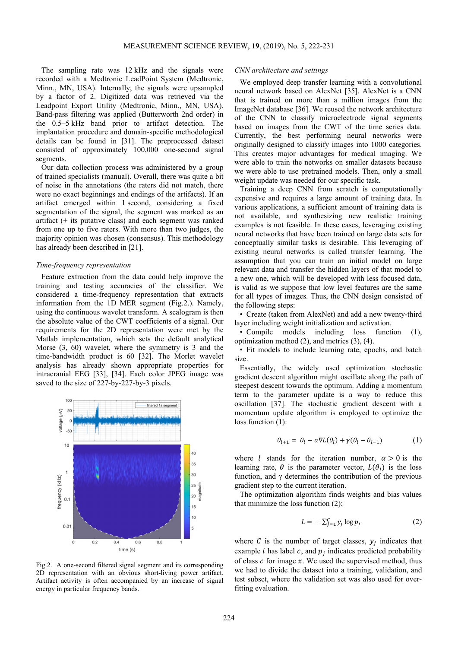The sampling rate was 12 kHz and the signals were recorded with a Medtronic LeadPoint System (Medtronic, Minn., MN, USA). Internally, the signals were upsampled by a factor of 2. Digitized data was retrieved via the Leadpoint Export Utility (Medtronic, Minn., MN, USA). Band-pass filtering was applied (Butterworth 2nd order) in the 0.5–5 kHz band prior to artifact detection. The implantation procedure and domain-specific methodological details can be found in [31]. The preprocessed dataset consisted of approximately 100,000 one-second signal segments.

Our data collection process was administered by a group of trained specialists (manual). Overall, there was quite a bit of noise in the annotations (the raters did not match, there were no exact beginnings and endings of the artifacts). If an artifact emerged within 1 second, considering a fixed segmentation of the signal, the segment was marked as an artifact (+ its putative class) and each segment was ranked from one up to five raters. With more than two judges, the majority opinion was chosen (consensus). This methodology has already been described in [21].

#### *Time-frequency representation*

Feature extraction from the data could help improve the training and testing accuracies of the classifier. We considered a time-frequency representation that extracts information from the 1D MER segment (Fig.2.). Namely, using the continuous wavelet transform. A scalogram is then the absolute value of the CWT coefficients of a signal. Our requirements for the 2D representation were met by the Matlab implementation, which sets the default analytical Morse (3, 60) wavelet, where the symmetry is 3 and the time-bandwidth product is 60 [32]. The Morlet wavelet analysis has already shown appropriate properties for intracranial EEG [33], [34]. Each color JPEG image was saved to the size of 227-by-227-by-3 pixels.



Fig.2. A one-second filtered signal segment and its corresponding 2D representation with an obvious short-living power artifact. Artifact activity is often accompanied by an increase of signal energy in particular frequency bands.

#### *CNN architecture and settings*

We employed deep transfer learning with a convolutional neural network based on AlexNet [35]. AlexNet is a CNN that is trained on more than a million images from the ImageNet database [36]. We reused the network architecture of the CNN to classify microelectrode signal segments based on images from the CWT of the time series data. Currently, the best performing neural networks were originally designed to classify images into 1000 categories. This creates major advantages for medical imaging. We were able to train the networks on smaller datasets because we were able to use pretrained models. Then, only a small weight update was needed for our specific task.

Training a deep CNN from scratch is computationally expensive and requires a large amount of training data. In various applications, a sufficient amount of training data is not available, and synthesizing new realistic training examples is not feasible. In these cases, leveraging existing neural networks that have been trained on large data sets for conceptually similar tasks is desirable. This leveraging of existing neural networks is called transfer learning. The assumption that you can train an initial model on large relevant data and transfer the hidden layers of that model to a new one, which will be developed with less focused data, is valid as we suppose that low level features are the same for all types of images. Thus, the CNN design consisted of the following steps:

• Create (taken from AlexNet) and add a new twenty-third layer including weight initialization and activation.

• Compile models including loss function (1), optimization method (2), and metrics (3), (4).

• Fit models to include learning rate, epochs, and batch size.

Essentially, the widely used optimization stochastic gradient descent algorithm might oscillate along the path of steepest descent towards the optimum. Adding a momentum term to the parameter update is a way to reduce this oscillation [37]. The stochastic gradient descent with a momentum update algorithm is employed to optimize the loss function (1):

$$
\theta_{l+1} = \theta_l - \alpha \nabla L(\theta_l) + \gamma (\theta_l - \theta_{l-1}) \tag{1}
$$

where *l* stands for the iteration number,  $\alpha > 0$  is the learning rate,  $\theta$  is the parameter vector,  $L(\theta_l)$  is the loss function, and  $\gamma$  determines the contribution of the previous gradient step to the current iteration.

The optimization algorithm finds weights and bias values that minimize the loss function (2):

$$
L = -\sum_{j=1}^{C} y_j \log p_j \tag{2}
$$

where C is the number of target classes,  $y_j$  indicates that example *i* has label  $c$ , and  $p_j$  indicates predicted probability of class  $c$  for image  $x$ . We used the supervised method, thus we had to divide the dataset into a training, validation, and test subset, where the validation set was also used for overfitting evaluation.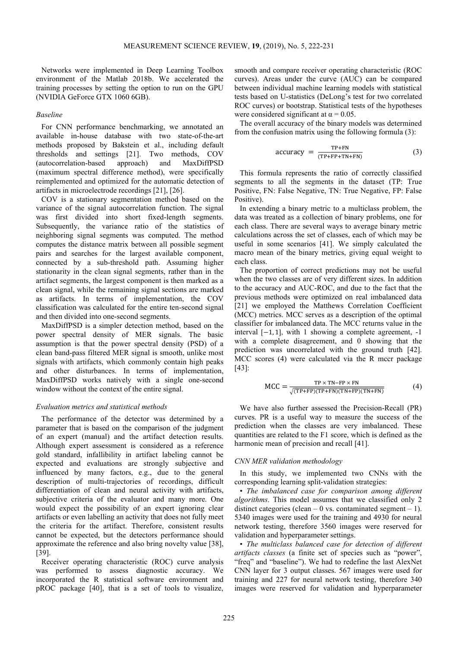Networks were implemented in Deep Learning Toolbox environment of the Matlab 2018b. We accelerated the training processes by setting the option to run on the GPU (NVIDIA GeForce GTX 1060 6GB).

# *Baseline*

For CNN performance benchmarking, we annotated an available in-house database with two state-of-the-art methods proposed by Bakstein et al., including default thresholds and settings [21]. Two methods, COV (autocorrelation-based approach) and MaxDiffPSD (maximum spectral difference method), were specifically reimplemented and optimized for the automatic detection of artifacts in microelectrode recordings [21], [26].

COV is a stationary segmentation method based on the variance of the signal autocorrelation function. The signal was first divided into short fixed-length segments. Subsequently, the variance ratio of the statistics of neighboring signal segments was computed. The method computes the distance matrix between all possible segment pairs and searches for the largest available component, connected by a sub-threshold path. Assuming higher stationarity in the clean signal segments, rather than in the artifact segments, the largest component is then marked as a clean signal, while the remaining signal sections are marked as artifacts. In terms of implementation, the COV classification was calculated for the entire ten-second signal and then divided into one-second segments.

MaxDiffPSD is a simpler detection method, based on the power spectral density of MER signals. The basic assumption is that the power spectral density (PSD) of a clean band-pass filtered MER signal is smooth, unlike most signals with artifacts, which commonly contain high peaks and other disturbances. In terms of implementation, MaxDiffPSD works natively with a single one-second window without the context of the entire signal.

## *Evaluation metrics and statistical methods*

The performance of the detector was determined by a parameter that is based on the comparison of the judgment of an expert (manual) and the artifact detection results. Although expert assessment is considered as a reference gold standard, infallibility in artifact labeling cannot be expected and evaluations are strongly subjective and influenced by many factors, e.g., due to the general description of multi-trajectories of recordings, difficult differentiation of clean and neural activity with artifacts, subjective criteria of the evaluator and many more. One would expect the possibility of an expert ignoring clear artifacts or even labelling an activity that does not fully meet the criteria for the artifact. Therefore, consistent results cannot be expected, but the detectors performance should approximate the reference and also bring novelty value [38], [39].

Receiver operating characteristic (ROC) curve analysis was performed to assess diagnostic accuracy. We incorporated the R statistical software environment and pROC package [40], that is a set of tools to visualize, smooth and compare receiver operating characteristic (ROC curves). Areas under the curve (AUC) can be compared between individual machine learning models with statistical tests based on U-statistics (DeLong's test for two correlated ROC curves) or bootstrap. Statistical tests of the hypotheses were considered significant at  $\alpha = 0.05$ .

The overall accuracy of the binary models was determined from the confusion matrix using the following formula (3):

accuracy = 
$$
\frac{\text{TP+FN}}{(\text{TP+FP+TN+FN})}
$$
 (3)

This formula represents the ratio of correctly classified segments to all the segments in the dataset (TP: True Positive, FN: False Negative, TN: True Negative, FP: False Positive).

In extending a binary metric to a multiclass problem, the data was treated as a collection of binary problems, one for each class. There are several ways to average binary metric calculations across the set of classes, each of which may be useful in some scenarios [41]. We simply calculated the macro mean of the binary metrics, giving equal weight to each class.

The proportion of correct predictions may not be useful when the two classes are of very different sizes. In addition to the accuracy and AUC-ROC, and due to the fact that the previous methods were optimized on real imbalanced data [21] we employed the Matthews Correlation Coefficient (MCC) metrics. MCC serves as a description of the optimal classifier for imbalanced data. The MCC returns value in the interval  $[-1, 1]$ , with 1 showing a complete agreement,  $-1$ with a complete disagreement, and 0 showing that the prediction was uncorrelated with the ground truth [42]. MCC scores (4) were calculated via the R mccr package [43]:

$$
MCC = \frac{TP \times TN - FP \times FN}{\sqrt{(TP + FP)(TP + FN)(TN + FP)(TN + FN)}}
$$
(4)

We have also further assessed the Precision-Recall (PR) curves. PR is a useful way to measure the success of the prediction when the classes are very imbalanced. These quantities are related to the F1 score, which is defined as the harmonic mean of precision and recall [41].

#### *CNN MER validation methodology*

In this study, we implemented two CNNs with the corresponding learning split-validation strategies:

• *The imbalanced case for comparison among different algorithms*. This model assumes that we classified only 2 distinct categories (clean  $-0$  vs. contaminated segment  $-1$ ). 5340 images were used for the training and 4930 for neural network testing, therefore 3560 images were reserved for validation and hyperparameter settings.

• *The multiclass balanced case for detection of different artifacts classes* (a finite set of species such as "power", "freq" and "baseline"). We had to redefine the last AlexNet CNN layer for 3 output classes. 567 images were used for training and 227 for neural network testing, therefore 340 images were reserved for validation and hyperparameter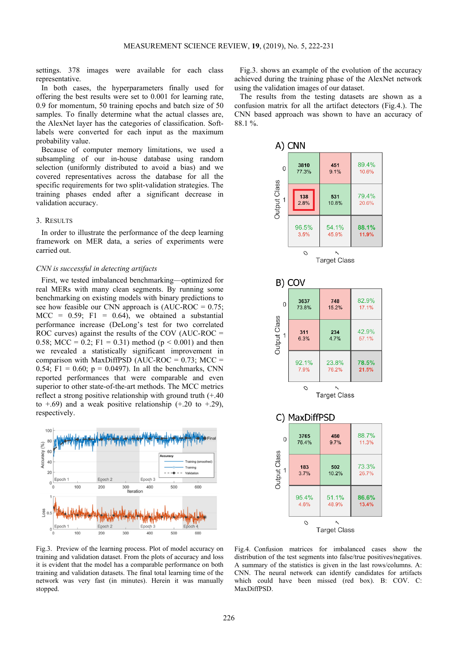settings. 378 images were available for each class representative.

In both cases, the hyperparameters finally used for offering the best results were set to 0.001 for learning rate, 0.9 for momentum, 50 training epochs and batch size of 50 samples. To finally determine what the actual classes are, the AlexNet layer has the categories of classification. Softlabels were converted for each input as the maximum probability value.

Because of computer memory limitations, we used a subsampling of our in-house database using random selection (uniformly distributed to avoid a bias) and we covered representatives across the database for all the specific requirements for two split-validation strategies. The training phases ended after a significant decrease in validation accuracy.

# 3. RESULTS

In order to illustrate the performance of the deep learning framework on MER data, a series of experiments were carried out.

## *CNN is successful in detecting artifacts*

First, we tested imbalanced benchmarking—optimized for real MERs with many clean segments. By running some benchmarking on existing models with binary predictions to see how feasible our CNN approach is  $(AUC\text{-}ROC = 0.75)$ ;  $MCC = 0.59$ ; F1 = 0.64), we obtained a substantial performance increase (DeLong's test for two correlated ROC curves) against the results of the COV (AUC-ROC = 0.58; MCC = 0.2; F1 = 0.31) method ( $p < 0.001$ ) and then we revealed a statistically significant improvement in comparison with MaxDiffPSD (AUC-ROC =  $0.73$ ; MCC = 0.54; F1 = 0.60;  $p = 0.0497$ ). In all the benchmarks, CNN reported performances that were comparable and even superior to other state-of-the-art methods. The MCC metrics reflect a strong positive relationship with ground truth (+.40 to  $\pm$ .69) and a weak positive relationship ( $\pm$ .20 to  $\pm$ .29), respectively.



Fig.3. Preview of the learning process. Plot of model accuracy on training and validation dataset. From the plots of accuracy and loss it is evident that the model has a comparable performance on both training and validation datasets. The final total learning time of the network was very fast (in minutes). Herein it was manually stopped.

Fig.3. shows an example of the evolution of the accuracy achieved during the training phase of the AlexNet network using the validation images of our dataset.

The results from the testing datasets are shown as a confusion matrix for all the artifact detectors (Fig.4.). The CNN based approach was shown to have an accuracy of 88.1 %.



Fig.4. Confusion matrices for imbalanced cases show the distribution of the test segments into false/true positives/negatives. A summary of the statistics is given in the last rows/columns. A: CNN. The neural network can identify candidates for artifacts which could have been missed (red box). B: COV. C: MaxDiffPSD.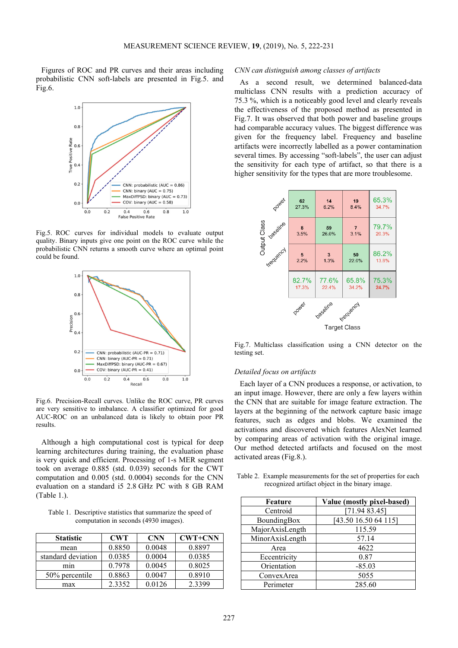Figures of ROC and PR curves and their areas including probabilistic CNN soft-labels are presented in Fig.5. and Fig.6.



Fig.5. ROC curves for individual models to evaluate output quality. Binary inputs give one point on the ROC curve while the probabilistic CNN returns a smooth curve where an optimal point could be found.



Fig.6. Precision-Recall curves. Unlike the ROC curve, PR curves are very sensitive to imbalance. A classifier optimized for good AUC-ROC on an unbalanced data is likely to obtain poor PR results.

Although a high computational cost is typical for deep learning architectures during training, the evaluation phase is very quick and efficient. Processing of 1-s MER segment took on average 0.885 (std. 0.039) seconds for the CWT computation and 0.005 (std. 0.0004) seconds for the CNN evaluation on a standard i5 2.8 GHz PC with 8 GB RAM (Table 1.).

Table 1. Descriptive statistics that summarize the speed of computation in seconds (4930 images).

| <b>Statistic</b>   | <b>CWT</b> | <b>CNN</b> | <b>CWT+CNN</b> |
|--------------------|------------|------------|----------------|
| mean               | 0.8850     | 0.0048     | 0.8897         |
| standard deviation | 0.0385     | 0.0004     | 0.0385         |
| mın                | 0.7978     | 0.0045     | 0.8025         |
| 50% percentile     | 0.8863     | 0.0047     | 0.8910         |
| max                | 2.3352     | 0.0126     | 2.3399         |

## *CNN can distinguish among classes of artifacts*

As a second result, we determined balanced-data multiclass CNN results with a prediction accuracy of 75.3 %, which is a noticeably good level and clearly reveals the effectiveness of the proposed method as presented in Fig.7. It was observed that both power and baseline groups had comparable accuracy values. The biggest difference was given for the frequency label. Frequency and baseline artifacts were incorrectly labelled as a power contamination several times. By accessing "soft-labels", the user can adjust the sensitivity for each type of artifact, so that there is a higher sensitivity for the types that are more troublesome.



Fig.7. Multiclass classification using a CNN detector on the testing set.

#### *Detailed focus on artifacts*

Each layer of a CNN produces a response, or activation, to an input image. However, there are only a few layers within the CNN that are suitable for image feature extraction. The layers at the beginning of the network capture basic image features, such as edges and blobs. We examined the activations and discovered which features AlexNet learned by comparing areas of activation with the original image. Our method detected artifacts and focused on the most activated areas (Fig.8.).

Table 2. Example measurements for the set of properties for each recognized artifact object in the binary image.

| Feature         | Value (mostly pixel-based) |  |
|-----------------|----------------------------|--|
| Centroid        | [71.9483.45]               |  |
| BoundingBox     | [43.50 16.50 64 115]       |  |
| MajorAxisLength | 115.59                     |  |
| MinorAxisLength | 57.14                      |  |
| Area            | 4622                       |  |
| Eccentricity    | 0.87                       |  |
| Orientation     | $-85.03$                   |  |
| ConvexArea      | 5055                       |  |
| Perimeter       | 285.60                     |  |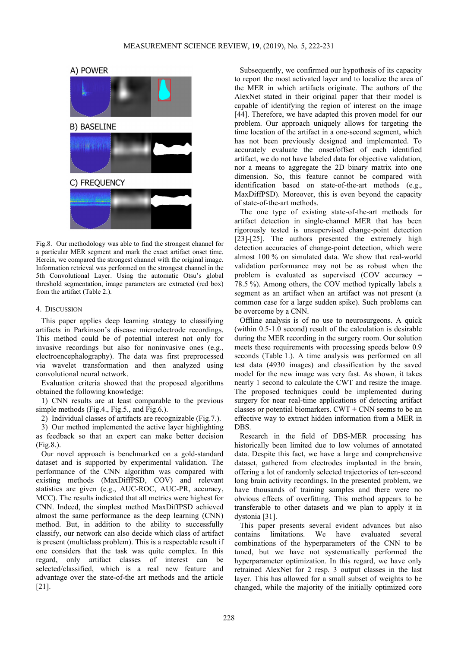A) POWER



Fig.8. Our methodology was able to find the strongest channel for a particular MER segment and mark the exact artifact onset time. Herein, we compared the strongest channel with the original image. Information retrieval was performed on the strongest channel in the 5th Convolutional Layer. Using the automatic Otsu's global threshold segmentation, image parameters are extracted (red box) from the artifact (Table 2.).

## 4. DISCUSSION

This paper applies deep learning strategy to classifying artifacts in Parkinson's disease microelectrode recordings. This method could be of potential interest not only for invasive recordings but also for noninvasive ones (e.g., electroencephalography). The data was first preprocessed via wavelet transformation and then analyzed using convolutional neural network.

Evaluation criteria showed that the proposed algorithms obtained the following knowledge:

1) CNN results are at least comparable to the previous simple methods (Fig.4., Fig.5., and Fig.6.).

2) Individual classes of artifacts are recognizable (Fig.7.).

3) Our method implemented the active layer highlighting as feedback so that an expert can make better decision (Fig.8.).

Our novel approach is benchmarked on a gold-standard dataset and is supported by experimental validation. The performance of the CNN algorithm was compared with existing methods (MaxDiffPSD, COV) and relevant statistics are given (e.g., AUC-ROC, AUC-PR, accuracy, MCC). The results indicated that all metrics were highest for CNN. Indeed, the simplest method MaxDiffPSD achieved almost the same performance as the deep learning (CNN) method. But, in addition to the ability to successfully classify, our network can also decide which class of artifact is present (multiclass problem). This is a respectable result if one considers that the task was quite complex. In this regard, only artifact classes of interest can be selected/classified, which is a real new feature and advantage over the state-of-the art methods and the article [21].

Subsequently, we confirmed our hypothesis of its capacity to report the most activated layer and to localize the area of the MER in which artifacts originate. The authors of the AlexNet stated in their original paper that their model is capable of identifying the region of interest on the image [44]. Therefore, we have adapted this proven model for our problem. Our approach uniquely allows for targeting the time location of the artifact in a one-second segment, which has not been previously designed and implemented. To accurately evaluate the onset/offset of each identified artifact, we do not have labeled data for objective validation, nor a means to aggregate the 2D binary matrix into one dimension. So, this feature cannot be compared with identification based on state-of-the-art methods (e.g., MaxDiffPSD). Moreover, this is even beyond the capacity of state-of-the-art methods.

The one type of existing state-of-the-art methods for artifact detection in single-channel MER that has been rigorously tested is unsupervised change-point detection [23]-[25]. The authors presented the extremely high detection accuracies of change-point detection, which were almost 100 % on simulated data. We show that real-world validation performance may not be as robust when the problem is evaluated as supervised (COV accuracy = 78.5 %). Among others, the COV method typically labels a segment as an artifact when an artifact was not present (a common case for a large sudden spike). Such problems can be overcome by a CNN.

Offline analysis is of no use to neurosurgeons. A quick (within 0.5-1.0 second) result of the calculation is desirable during the MER recording in the surgery room. Our solution meets these requirements with processing speeds below 0.9 seconds (Table 1.). A time analysis was performed on all test data (4930 images) and classification by the saved model for the new image was very fast. As shown, it takes nearly 1 second to calculate the CWT and resize the image. The proposed techniques could be implemented during surgery for near real-time applications of detecting artifact classes or potential biomarkers.  $CWT + CNN$  seems to be an effective way to extract hidden information from a MER in DBS.

Research in the field of DBS-MER processing has historically been limited due to low volumes of annotated data. Despite this fact, we have a large and comprehensive dataset, gathered from electrodes implanted in the brain, offering a lot of randomly selected trajectories of ten-second long brain activity recordings. In the presented problem, we have thousands of training samples and there were no obvious effects of overfitting. This method appears to be transferable to other datasets and we plan to apply it in dystonia [31].

This paper presents several evident advances but also contains limitations. We have evaluated several combinations of the hyperparameters of the CNN to be tuned, but we have not systematically performed the hyperparameter optimization. In this regard, we have only retrained AlexNet for 2 resp. 3 output classes in the last layer. This has allowed for a small subset of weights to be changed, while the majority of the initially optimized core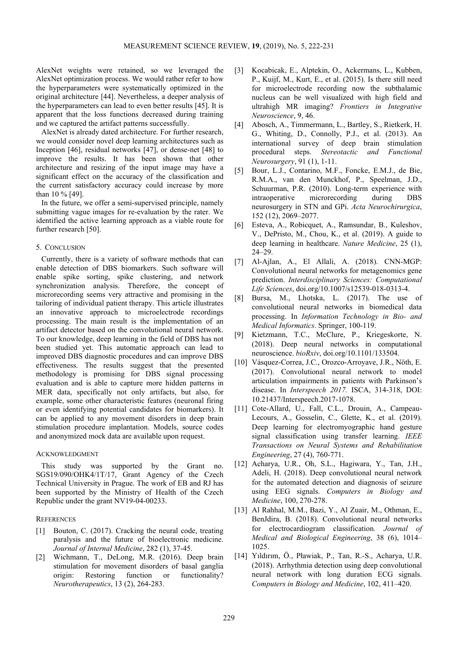AlexNet weights were retained, so we leveraged the AlexNet optimization process. We would rather refer to how the hyperparameters were systematically optimized in the original architecture [44]. Nevertheless, a deeper analysis of the hyperparameters can lead to even better results [45]. It is apparent that the loss functions decreased during training and we captured the artifact patterns successfully.

AlexNet is already dated architecture. For further research, we would consider novel deep learning architectures such as Inception [46], residual networks [47], or dense-net [48] to improve the results. It has been shown that other architecture and resizing of the input image may have a significant effect on the accuracy of the classification and the current satisfactory accuracy could increase by more than 10 % [49].

In the future, we offer a semi-supervised principle, namely submitting vague images for re-evaluation by the rater. We identified the active learning approach as a viable route for further research [50].

# 5. CONCLUSION

Currently, there is a variety of software methods that can enable detection of DBS biomarkers. Such software will enable spike sorting, spike clustering, and network synchronization analysis. Therefore, the concept of microrecording seems very attractive and promising in the tailoring of individual patient therapy. This article illustrates an innovative approach to microelectrode recordings processing. The main result is the implementation of an artifact detector based on the convolutional neural network. To our knowledge, deep learning in the field of DBS has not been studied yet. This automatic approach can lead to improved DBS diagnostic procedures and can improve DBS effectiveness. The results suggest that the presented methodology is promising for DBS signal processing evaluation and is able to capture more hidden patterns in MER data, specifically not only artifacts, but also, for example, some other characteristic features (neuronal firing or even identifying potential candidates for biomarkers). It can be applied to any movement disorders in deep brain stimulation procedure implantation. Models, source codes and anonymized mock data are available upon request.

# ACKNOWLEDGMENT

This study was supported by the Grant no. SGS19/090/OHK4/1T/17, Grant Agency of the Czech Technical University in Prague. The work of EB and RJ has been supported by the Ministry of Health of the Czech Republic under the grant NV19-04-00233.

# **REFERENCES**

- [1] Bouton, C. (2017). Cracking the neural code, treating paralysis and the future of bioelectronic medicine. *Journal of Internal Medicine*, 282 (1), 37-45.
- [2] Wichmann, T., DeLong, M.R. (2016). Deep brain stimulation for movement disorders of basal ganglia origin: Restoring function or functionality? *Neurotherapeutics*, 13 (2), 264-283.
- [3] Kocabicak, E., Alptekin, O., Ackermans, L., Kubben, P., Kuijf, M., Kurt, E., et al. (2015). Is there still need for microelectrode recording now the subthalamic nucleus can be well visualized with high field and ultrahigh MR imaging? *Frontiers in Integrative Neuroscience*, 9, 46.
- [4] Abosch, A., Timmermann, L., Bartley, S., Rietkerk, H. G., Whiting, D., Connolly, P.J., et al. (2013). An international survey of deep brain stimulation procedural steps. *Stereotactic and Functional Neurosurgery*, 91 (1), 1-11.
- [5] Bour, L.J., Contarino, M.F., Foncke, E.M.J., de Bie, R.M.A., van den Munckhof, P., Speelman, J.D., Schuurman, P.R. (2010). Long-term experience with intraoperative microrecording during DBS neurosurgery in STN and GPi. *Acta Neurochirurgica*, 152 (12), 2069–2077.
- [6] Esteva, A., Robicquet, A., Ramsundar, B., Kuleshov, V., DePristo, M., Chou, K., et al. (2019). A guide to deep learning in healthcare. *Nature Medicine*, 25 (1), 24–29.
- [7] Al-Ajlan, A., El Allali, A. (2018). CNN-MGP: Convolutional neural networks for metagenomics gene prediction. *Interdisciplinary Sciences: Computational Life Sciences*, doi.org/10.1007/s12539-018-0313-4.
- [8] Bursa, M., Lhotska, L. (2017). The use of convolutional neural networks in biomedical data processing. In *Information Technology in Bio- and Medical Informatics*. Springer, 100-119.
- [9] Kietzmann, T.C., McClure, P., Kriegeskorte, N. (2018). Deep neural networks in computational neuroscience. *bioRxiv*, doi.org/10.1101/133504.
- [10] Vásquez-Correa, J.C., Orozco-Arroyave, J.R., Nöth, E. (2017). Convolutional neural network to model articulation impairments in patients with Parkinson's disease. In *Interspeech 2017.* ISCA, 314-318, DOI: 10.21437/Interspeech.2017-1078.
- [11] Cote-Allard, U., Fall, C.L., Drouin, A., Campeau-Lecours, A., Gosselin, C., Glette, K., et al. (2019). Deep learning for electromyographic hand gesture signal classification using transfer learning. *IEEE Transactions on Neural Systems and Rehabilitation Engineering*, 27 (4), 760-771.
- [12] Acharya, U.R., Oh, S.L., Hagiwara, Y., Tan, J.H., Adeli, H. (2018). Deep convolutional neural network for the automated detection and diagnosis of seizure using EEG signals. *Computers in Biology and Medicine*, 100, 270-278.
- [13] Al Rahhal, M.M., Bazi, Y., Al Zuair, M., Othman, E., BenJdira, B. (2018). Convolutional neural networks for electrocardiogram classification*. Journal of Medical and Biological Engineering*, 38 (6), 1014– 1025.
- [14] Yıldırım, Ö., Pławiak, P., Tan, R.-S., Acharya, U.R. (2018). Arrhythmia detection using deep convolutional neural network with long duration ECG signals. *Computers in Biology and Medicine*, 102, 411–420.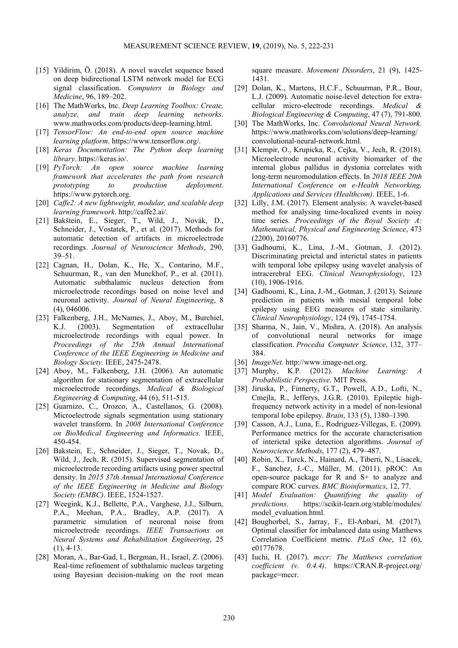- [15] Yildirim, Ö. (2018). A novel wavelet sequence based on deep bidirectional LSTM network model for ECG signal classification. *Computers in Biology and Medicine*, 96, 189–202.
- [16] The MathWorks, Inc. *Deep Learning Toolbox: Create, analyze, and train deep learning networks*. www.mathworks.com/products/deep-learning.html.
- [17] *TensorFlow: An end-to-end open source machine learning platform*. https://www.tensorflow.org/.
- [18] *Keras Documentation: The Python deep learning library*. https://keras.io/.
- [19] *PyTorch: An open source machine learning framework that accelerates the path from research prototyping to production deployment*. https://www.pytorch.org.
- [20] *Caffe2: A new lightweight, modular, and scalable deep learning framework*. http://caffe2.ai/.
- [21] Bakštein, E., Sieger, T., Wild, J., Novák, D., Schneider, J., Vostatek, P., et al. (2017). Methods for automatic detection of artifacts in microelectrode recordings. *Journal of Neuroscience Methods*, 290, 39–51.
- [22] Cagnan, H., Dolan, K., He, X., Contarino, M.F., Schuurman, R., van den Munckhof, P., et al. (2011). Automatic subthalamic nucleus detection from microelectrode recordings based on noise level and neuronal activity. *Journal of Neural Engineering*, 8 (4), 046006.
- [23] Falkenberg, J.H., McNames, J., Aboy, M., Burchiel, K.J. (2003). Segmentation of extracellular microelectrode recordings with equal power. In *Proceedings of the 25th Annual International Conference of the IEEE Engineering in Medicine and Biology Society.* IEEE, 2475-2478.
- [24] Aboy, M., Falkenberg, J.H. (2006). An automatic algorithm for stationary segmentation of extracellular microelectrode recordings. *Medical & Biological Engineering & Computing*, 44 (6), 511-515.
- [25] Guarnizo, C., Orozco, A., Castellanos, G. (2008). Microelectrode signals segmentation using stationary wavelet transform. In *2008 International Conference on BioMedical Engineering and Informatics.* IEEE, 450-454.
- [26] Bakstein, E., Schneider, J., Sieger, T., Novak, D., Wild, J., Jech, R. (2015). Supervised segmentation of microelectrode recording artifacts using power spectral density. In *2015 37th Annual International Conference of the IEEE Engineering in Medicine and Biology Society (EMBC)*. IEEE, 1524-1527.
- [27] Weegink, K.J., Bellette, P.A., Varghese, J.J., Silburn, P.A., Meehan, P.A., Bradley, A.P. (2017). A parametric simulation of neuronal noise from microelectrode recordings. *IEEE Transactions on Neural Systems and Rehabilitation Engineering*, 25  $(1), 4-13.$
- [28] Moran, A., Bar-Gad, I., Bergman, H., Israel, Z. (2006). Real-time refinement of subthalamic nucleus targeting using Bayesian decision-making on the root mean

square measure. *Movement Disorders*, 21 (9), 1425- 1431.

- [29] Dolan, K., Martens, H.C.F., Schuurman, P.R., Bour, L.J. (2009). Automatic noise-level detection for extracellular micro-electrode recordings. *Medical & Biological Engineering & Computing*, 47 (7), 791-800.
- [30] The MathWorks, Inc. *Convolutional Neural Network*. https://www.mathworks.com/solutions/deep-learning/ convolutional-neural-network.html.
- [31] Klempir, O., Krupicka, R., Cejka, V., Jech, R. (2018). Microelectrode neuronal activity biomarker of the internal globus pallidus in dystonia correlates with long-term neuromodulation effects. In *2018 IEEE 20th International Conference on e-Health Networking, Applications and Services (Healthcom)*. IEEE, 1-6.
- [32] Lilly, J.M. (2017). Element analysis: A wavelet-based method for analysing time-localized events in noisy time series. *Proceedings of the Royal Society A: Mathematical, Physical and Engineering Science*, 473 (2200), 20160776.
- [33] Gadhoumi, K., Lina, J.-M., Gotman, J. (2012). Discriminating preictal and interictal states in patients with temporal lobe epilepsy using wavelet analysis of intracerebral EEG. *Clinical Neurophysiology*, 123 (10), 1906-1916.
- [34] Gadhoumi, K., Lina, J.-M., Gotman, J. (2013). Seizure prediction in patients with mesial temporal lobe epilepsy using EEG measures of state similarity. *Clinical Neurophysiology*, 124 (9), 1745-1754.
- [35] Sharma, N., Jain, V., Mishra, A. (2018). An analysis of convolutional neural networks for image classification. *Procedia Computer Science*, 132, 377– 384.
- [36] *ImageNet.* http://www.image-net.org.
- [37] Murphy, K.P. (2012). *Machine Learning: A Probabilistic Perspective*. MIT Press.
- [38] Jiruska, P., Finnerty, G.T., Powell, A.D., Lofti, N., Cmejla, R., Jefferys, J.G.R. (2010). Epileptic highfrequency network activity in a model of non-lesional temporal lobe epilepsy. *Brain*, 133 (5), 1380–1390.
- [39] Casson, A.J., Luna, E., Rodriguez-Villegas, E. (2009). Performance metrics for the accurate characterisation of interictal spike detection algorithms. *Journal of Neuroscience Methods*, 177 (2), 479–487.
- [40] Robin, X., Turck, N., Hainard, A., Tiberti, N., Lisacek, F., Sanchez, J.-C., Müller, M. (2011). pROC: An open-source package for R and S+ to analyze and compare ROC curves. *BMC Bioinformatics*, 12, 77.
- [41] *Model Evaluation: Quantifying the quality of predictions*. https://scikit-learn.org/stable/modules/ model\_evaluation.html.
- [42] Boughorbel, S., Jarray, F., El-Anbari, M. (2017). Optimal classifier for imbalanced data using Matthews Correlation Coefficient metric. *PLoS One*, 12 (6), e0177678.
- [43] Iuchi, H. (2017). *mccr: The Matthews correlation coefficient (v. 0.4.4)*. https://CRAN.R-project.org/ package=mccr.